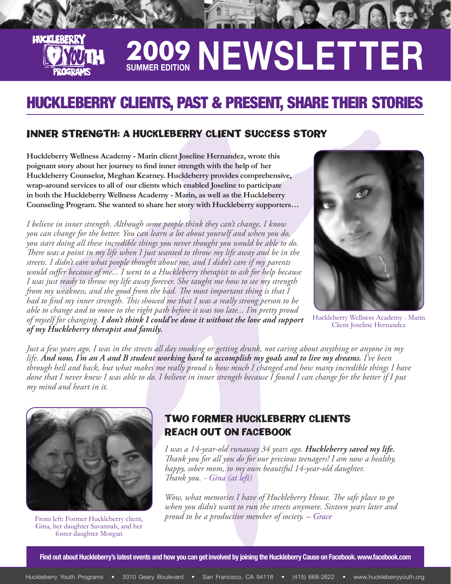# **2009 Summer Edition NEWSLETTER**

## HUCKLEBERRY CLIENTS, PAST & PRESENT, SHARE THEIR STORIES

### INNER STRENGTH: A HUCKLEBERRY CLIENT SUCCESS STORY

**Huckleberry Wellness Academy - Marin client Joseline Hernandez, wrote this poignant story about her journey to find inner strength with the help of her Huckleberry Counselor, Meghan Kearney. Huckleberry provides comprehensive, wrap-around services to all of our clients which enabled Joseline to participate in both the Huckleberry Wellness Academy - Marin, as well as the Huckleberry Counseling Program. She wanted to share her story with Huckleberry supporters…**

*I believe in inner strength. Although some people think they can't change, I know you can change for the better. You can learn a lot about yourself and when you do, you start doing all these incredible things you never thought you would be able to do. There was a point in my life when I just wanted to throw my life away and be in the streets. I didn't care what people thought about me, and I didn't care if my parents would suffer because of me... I went to a Huckleberry therapist to ask for help because I was just ready to throw my life away forever. She taught me how to see my strength from my weakness, and the good from the bad. The most important thing is that I had to find my inner strength. This showed me that I was a really strong person to be able to change and to move to the right path before it was too late... I'm pretty proud of myself for changing. I don't think I could've done it without the love and support of my Huckleberry therapist and family.* 



Huckleberry Wellness Academy - Marin Client Joseline Hernandez

*Just a few years ago, I was in the streets all day smoking or getting drunk, not caring about anything or anyone in my life. And now, I'm an A and B student working hard to accomplish my goals and to live my dreams. I've been through hell and back, but what makes me really proud is how much I changed and how many incredible things I have done that I never knew I was able to do. I believe in inner strength because I found I can change for the better if I put my mind and heart in it.*



**LINCKI FRERI** 

Gina, her daughter Savannah, and her foster daughter Morgan

### TWO FORMER HUCKLEBERRY CLIENTS REACH OUT ON FACEBOOK

*I was a 14-year-old runaway 34 years ago. Huckleberry saved my life. Thank you for all you do for our precious teenagers! I am now a healthy, happy, sober mom, to my own beautiful 14-year-old daughter. Thank you. - Gina (at left)*

*Wow, what memories I have of Huckleberry House. The safe place to go when you didn't want to run the streets anymore. Sixteen years later and*  From left: Former Huckleberry client, *proud to be a productive member of society. – Grace* 

**Find out about Huckleberry's latest events and how you can get involved by joining the Huckleberry Cause on Facebook. www.facebook.com**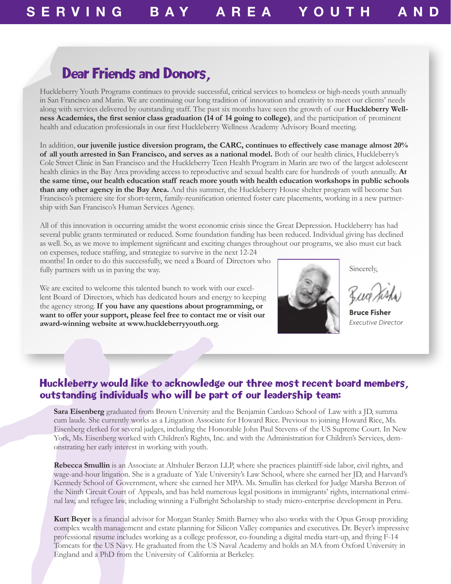### Dear Friends and Donors,

Huckleberry Youth Programs continues to provide successful, critical services to homeless or high-needs youth annually in San Francisco and Marin. We are continuing our long tradition of innovation and creativity to meet our clients' needs along with services delivered by outstanding staff. The past six months have seen the growth of our **Huckleberry Wellness Academies, the first senior class graduation (14 of 14 going to college)**, and the participation of prominent health and education professionals in our first Huckleberry Wellness Academy Advisory Board meeting.

In addition, **our juvenile justice diversion program, the CARC, continues to effectively case manage almost 20% of all youth arrested in San Francisco, and serves as a national model.** Both of our health clinics, Huckleberry's Cole Street Clinic in San Francisco and the Huckleberry Teen Health Program in Marin are two of the largest adolescent health clinics in the Bay Area providing access to reproductive and sexual health care for hundreds of youth annually. **At the same time, our health education staff reach more youth with health education workshops in public schools than any other agency in the Bay Area.** And this summer, the Huckleberry House shelter program will become San Francisco's premiere site for short-term, family-reunification oriented foster care placements, working in a new partnership with San Francisco's Human Services Agency.

All of this innovation is occurring amidst the worst economic crisis since the Great Depression. Huckleberry has had several public grants terminated or reduced. Some foundation funding has been reduced. Individual giving has declined as well. So, as we move to implement significant and exciting changes throughout our programs, we also must cut back on expenses, reduce staffing, and strategize to survive in the next 12-24

months! In order to do this successfully, we need a Board of Directors who fully partners with us in paving the way.

We are excited to welcome this talented bunch to work with our excellent Board of Directors, which has dedicated hours and energy to keeping the agency strong. **If you have any questions about programming, or want to offer your support, please feel free to contact me or visit our award-winning website at www.huckleberryyouth.org.**



Sincerely,

**Bruce Fisher** *Executive Director*

### Huckleberry would like to acknowledge our three most recent board members, outstanding individuals who will be part of our leadership team:

**Sara Eisenberg** graduated from Brown University and the Benjamin Cardozo School of Law with a JD, summa cum laude. She currently works as a Litigation Associate for Howard Rice. Previous to joining Howard Rice, Ms. Eisenberg clerked for several judges, including the Honorable John Paul Stevens of the US Supreme Court. In New York, Ms. Eisenberg worked with Children's Rights, Inc. and with the Administration for Children's Services, demonstrating her early interest in working with youth.

**Rebecca Smullin** is an Associate at Altshuler Berzon LLP, where she practices plaintiff-side labor, civil rights, and wage-and-hour litigation. She is a graduate of Yale University's Law School, where she earned her JD, and Harvard's Kennedy School of Government, where she earned her MPA. Ms. Smullin has clerked for Judge Marsha Berzon of the Ninth Circuit Court of Appeals, and has held numerous legal positions in immigrants' rights, international criminal law, and refugee law, including winning a Fulbright Scholarship to study micro-enterprise development in Peru.

**Kurt Beyer** is a financial advisor for Morgan Stanley Smith Barney who also works with the Opus Group providing complex wealth management and estate planning for Silicon Valley companies and executives. Dr. Beyer's impressive professional resume includes working as a college professor, co-founding a digital media start-up, and flying F-14 Tomcats for the US Navy. He graduated from the US Naval Academy and holds an MA from Oxford University in England and a PhD from the University of California at Berkeley.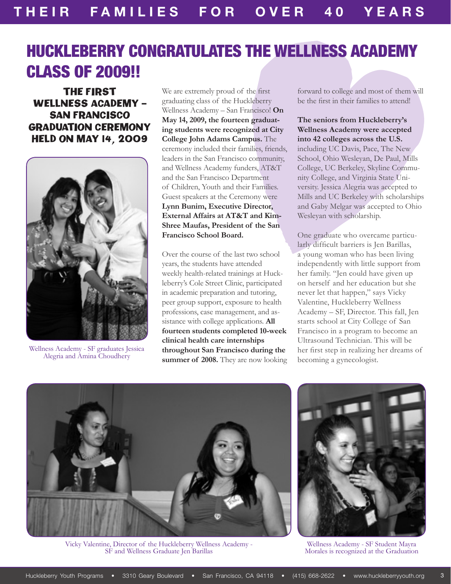# HUCKLEBERRY CONGRATULATES THE WELLNESS ACADEMY CLASS OF 2009!!

The First Wellness Academy – San Francisco Graduation Ceremony Held on May 14, 2009



Wellness Academy - SF graduates Jessica Alegria and Amina Choudhery

We are extremely proud of the first graduating class of the Huckleberry Wellness Academy – San Francisco! **On May 14, 2009, the fourteen graduating students were recognized at City College John Adams Campus.** The ceremony included their families, friends, leaders in the San Francisco community, and Wellness Academy funders, AT&T and the San Francisco Department of Children, Youth and their Families. Guest speakers at the Ceremony were **Lynn Bunim, Executive Director, External Affairs at AT&T and Kim-Shree Maufas, President of the San Francisco School Board.** 

Over the course of the last two school years, the students have attended weekly health-related trainings at Huckleberry's Cole Street Clinic, participated in academic preparation and tutoring, peer group support, exposure to health professions, case management, and assistance with college applications. **All fourteen students completed 10‑week clinical health care internships throughout San Francisco during the summer of 2008.** They are now looking forward to college and most of them will be the first in their families to attend!

### **The seniors from Huckleberry's Wellness Academy were accepted into 42 colleges across the U.S.**  including UC Davis, Pace, The New School, Ohio Wesleyan, De Paul, Mills College, UC Berkeley, Skyline Community College, and Virginia State University. Jessica Alegria was accepted to Mills and UC Berkeley with scholarships and Gaby Melgar was accepted to Ohio Wesleyan with scholarship.

One graduate who overcame particularly difficult barriers is Jen Barillas, a young woman who has been living independently with little support from her family. "Jen could have given up on herself and her education but she never let that happen," says Vicky Valentine, Huckleberry Wellness Academy – SF, Director. This fall, Jen starts school at City College of San Francisco in a program to become an Ultrasound Technician. This will be her first step in realizing her dreams of becoming a gynecologist.



Vicky Valentine, Director of the Huckleberry Wellness Academy - SF and Wellness Graduate Jen Barillas



Wellness Academy - SF Student Mayra Morales is recognized at the Graduation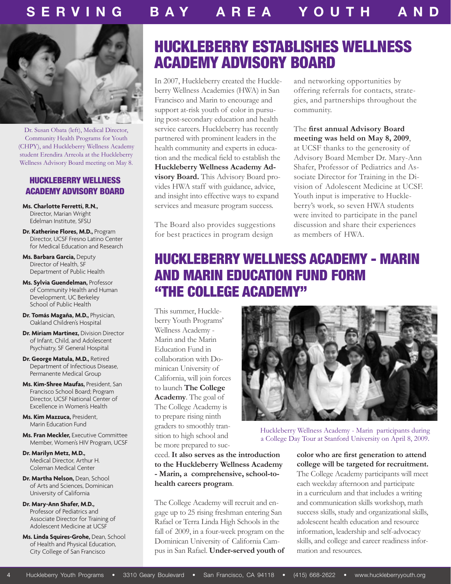

Dr. Susan Obata (left), Medical Director, Community Health Programs for Youth (CHPY), and Huckleberry Wellness Academy student Erendira Arreola at the Huckleberry Wellness Advisory Board meeting on May 8.

### Huckleberry Wellness Academy Advisory Board

**Ms. Charlotte Ferretti, R.N.,**  Director, Marian Wright Edelman Institute, SFSU

**Dr. Katherine Flores, M.D.,** Program Director, UCSF Fresno Latino Center for Medical Education and Research

**Ms. Barbara Garcia,** Deputy Director of Health, SF Department of Public Health

- **Ms. Sylvia Guendelman,** Professor of Community Health and Human Development, UC Berkeley School of Public Health
- **Dr. Tomás Magaña, M.D.,** Physician, Oakland Children's Hospital
- **Dr. Miriam Martinez,** Division Director of Infant, Child, and Adolescent Psychiatry, SF General Hospital
- **Dr. George Matula, M.D.,** Retired Department of Infectious Disease, Permanente Medical Group
- **Ms. Kim-Shree Maufas,** President, San Francisco School Board; Program Director, UCSF National Center of Excellence in Women's Health

**Ms. Kim Mazzuca,** President, Marin Education Fund

- **Ms. Fran Meckler,** Executive Committee Member, Women's HIV Program, UCSF
- **Dr. Marilyn Metz, M.D.,**  Medical Director, Arthur H. Coleman Medical Center
- **Dr. Martha Nelson,** Dean, School of Arts and Sciences, Dominican University of California
- **Dr. Mary-Ann Shafer, M.D.,**  Professor of Pediatrics and Associate Director for Training of Adolescent Medicine at UCSF
- **Ms. Linda Squires-Grohe,** Dean, School of Health and Physical Education, City College of San Francisco

### Huckleberry Establishes Wellness Academy Advisory Board

In 2007, Huckleberry created the Huckleberry Wellness Academies (HWA) in San Francisco and Marin to encourage and support at-risk youth of color in pursuing post-secondary education and health service careers. Huckleberry has recently partnered with prominent leaders in the health community and experts in education and the medical field to establish the **Huckleberry Wellness Academy Advisory Board.** This Advisory Board provides HWA staff with guidance, advice, and insight into effective ways to expand services and measure program success.

The Board also provides suggestions for best practices in program design

and networking opportunities by offering referrals for contacts, strategies, and partnerships throughout the community.

### The **first annual Advisory Board meeting was held on May 8, 2009**,

at UCSF thanks to the generosity of Advisory Board Member Dr. Mary-Ann Shafer, Professor of Pediatrics and Associate Director for Training in the Division of Adolescent Medicine at UCSF. Youth input is imperative to Huckleberry's work, so seven HWA students were invited to participate in the panel discussion and share their experiences as members of HWA.

### HUCKLEBERRY WELLNESS ACADEMY - MARIN and MARIN EDUCATION FUND FORM "THE COLLEGE ACADEMY"

This summer, Huckleberry Youth Programs' Wellness Academy - Marin and the Marin Education Fund in collaboration with Dominican University of California, will join forces to launch **The College Academy**. The goal of The College Academy is to prepare rising ninth graders to smoothly transition to high school and be more prepared to suc-

Huckleberry Wellness Academy - Marin participants during a College Day Tour at Stanford University on April 8, 2009.

ceed. **It also serves as the introduction to the Huckleberry Wellness Academy - Marin, a comprehensive, school-tohealth careers program**.

The College Academy will recruit and engage up to 25 rising freshman entering San Rafael or Terra Linda High Schools in the fall of 2009, in a four-week program on the Dominican University of California Campus in San Rafael. **Under-served youth of** 

**color who are first generation to attend college will be targeted for recruitment.**  The College Academy participants will meet each weekday afternoon and participate in a curriculum and that includes a writing and communication skills workshop, math success skills, study and organizational skills, adolescent health education and resource information, leadership and self-advocacy skills, and college and career readiness information and resources.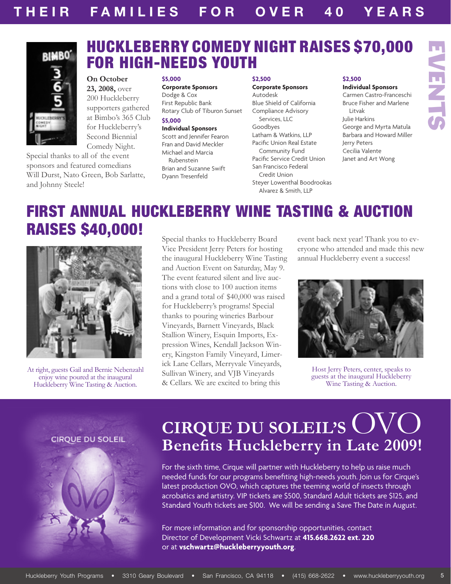### HUCKLEBERRY COMEDY NIGHT RAISES \$70,000 FOR HIGH-NEEDS YOUTH



**On October 23, 2008,** over 200 Huckleberry supporters gathered at Bimbo's 365 Club for Huckleberry's Second Biennial Comedy Night.

Special thanks to all of the event sponsors and featured comedians Will Durst, Nato Green, Bob Sarlatte, and Johnny Steele!

### **\$5,000**

**Corporate Sponsors** Dodge & Cox First Republic Bank Rotary Club of Tiburon Sunset **\$5,000 Individual Sponsors** Scott and Jennifer Fearon Fran and David Meckler

Michael and Marcia Rubenstein Brian and Suzanne Swift Dyann Tresenfeld

#### **\$2,500**

### **Corporate Sponsors**

Autodesk Blue Shield of California Compliance Advisory Services, LLC Goodbyes Latham & Watkins, LLP Pacific Union Real Estate Community Fund Pacific Service Credit Union San Francisco Federal Credit Union Steyer Lowenthal Boodrookas Alvarez & Smith, LLP

### **\$2,500**

#### **Individual Sponsors**

EVENTS

**FNLS** 

Carmen Castro-Franceschi Bruce Fisher and Marlene Litvak Julie Harkins George and Myrta Matula Barbara and Howard Miller Jerry Peters Cecilia Valente Janet and Art Wong

# FIRST ANNUAL HUCKLEBERRY WINE Tasting & Auction RAISES \$40,000! Special thanks to Huckleberry Board



At right, guests Gail and Bernie Nebenzahl enjoy wine poured at the inaugural Huckleberry Wine Tasting & Auction.

Vice President Jerry Peters for hosting the inaugural Huckleberry Wine Tasting and Auction Event on Saturday, May 9. The event featured silent and live auctions with close to 100 auction items and a grand total of \$40,000 was raised for Huckleberry's programs! Special thanks to pouring wineries Barbour Vineyards, Barnett Vineyards, Black Stallion Winery, Esquin Imports, Expression Wines, Kendall Jackson Winery, Kingston Family Vineyard, Limerick Lane Cellars, Merryvale Vineyards, Sullivan Winery, and VJB Vineyards & Cellars. We are excited to bring this

event back next year! Thank you to everyone who attended and made this new annual Huckleberry event a success!



Host Jerry Peters, center, speaks to guests at the inaugural Huckleberry Wine Tasting & Auction.

**CIRQUE DU SOLEIL** 



# **CIRQUE DU SOLEIL'S** OVO **Benefits Huckleberry in Late 2009!**

For the sixth time, Cirque will partner with Huckleberry to help us raise much needed funds for our programs benefiting high-needs youth. Join us for Cirque's latest production OVO, which captures the teeming world of insects through acrobatics and artistry. VIP tickets are \$500, Standard Adult tickets are \$125, and Standard Youth tickets are \$100. We will be sending a Save The Date in August.

For more information and for sponsorship opportunities, contact Director of Development Vicki Schwartz at **415.668.2622 ext. 220** or at **vschwartz@huckleberryyouth.org**.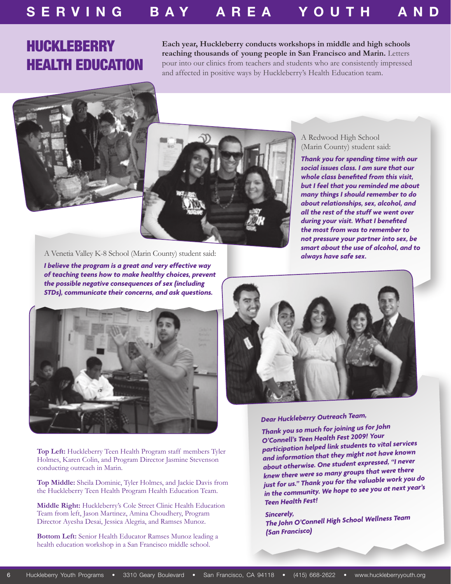### Huckleberry Health Education

**Each year, Huckleberry conducts workshops in middle and high schools reaching thousands of young people in San Francisco and Marin.** Letters pour into our clinics from teachers and students who are consistently impressed and affected in positive ways by Huckleberry's Health Education team.



### A Redwood High School (Marin County) student said:

*Thank you for spending time with our social issues class. I am sure that our whole class benefited from this visit, but I feel that you reminded me about many things I should remember to do about relationships, sex, alcohol, and all the rest of the stuff we went over during your visit. What I benefited the most from was to remember to not pressure your partner into sex, be smart about the use of alcohol, and to* 

*always have safe sex.* A Venetia Valley K-8 School (Marin County) student said:

*I believe the program is a great and very effective way of teaching teens how to make healthy choices, prevent the possible negative consequences of sex (including STDs), communicate their concerns, and ask questions.*



**Top Left:** Huckleberry Teen Health Program staff members Tyler Holmes, Karen Colin, and Program Director Jasmine Stevenson conducting outreach in Marin.

**Top Middle:** Sheila Dominic, Tyler Holmes, and Jackie Davis from the Huckleberry Teen Health Program Health Education Team.

**Middle Right:** Huckleberry's Cole Street Clinic Health Education Team from left, Jason Martinez, Amina Choudhery, Program Director Ayesha Desai, Jessica Alegria, and Ramses Munoz.

**Bottom Left:** Senior Health Educator Ramses Munoz leading a health education workshop in a San Francisco middle school.



### *Dear Huckleberry Outreach Team,*

*Thank you so much for joining us for John O'Connell's Teen Health Fest 2009! Your participation helped link students to vital services and information that they might not have known about otherwise. One student expressed, "I never knew there were so many groups that were there just for us." Thank you for the valuable work you do in the community. We hope to see you at next year's Teen Health Fest!*

*Sincerely, The John O'Connell High School Wellness Team (San Francisco)*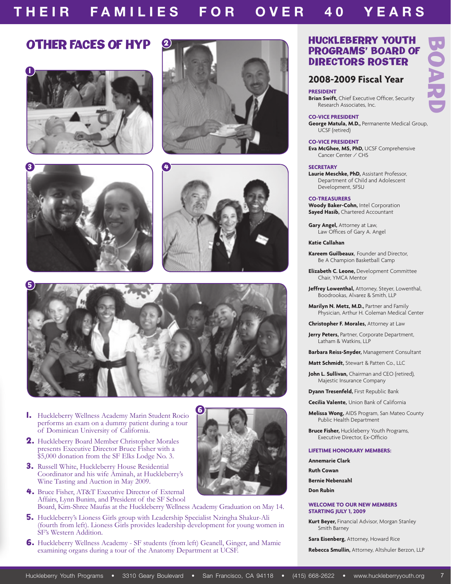### T H E I R F A M I L I E S F O R O V E R 4 0 Y E A R S **T H E I R F A MI L I E S F O R O V E R 4 0 Y E A R S**











6

- 1. Huckleberry Wellness Academy Marin Student Rocio performs an exam on a dummy patient during a tour of Dominican University of California.
- 2. Huckleberry Board Member Christopher Morales presents Executive Director Bruce Fisher with a \$5,000 donation from the SF Elks Lodge No. 3.
- 3. Russell White, Huckleberry House Residential Coordinator and his wife Aminah, at Huckleberry's Wine Tasting and Auction in May 2009.
- 4. Bruce Fisher, AT&T Executive Director of External Affairs, Lynn Bunim, and President of the SF School Board, Kim-Shree Maufas at the Huckleberry Wellness Academy Graduation on May 14.
- 5. Huckleberry's Lioness Girls group with Leadership Specialist Nzingha Shakur-Ali (fourth from left). Lioness Girls provides leadership development for young women in SF's Western Addition.
- 6. Huckleberry Wellness Academy SF students (from left) Geanell, Ginger, and Mamie examining organs during a tour of the Anatomy Department at UCSF.

### Programs' Board of Directors Roster

BOARD

### **2008-2009 Fiscal Year**

**PRESIDENT**

**Brian Swift,** Chief Executive Officer, Security Research Associates, Inc.

#### **CO-VICE PRESIDENT**

**George Matula, M.D.,** Permanente Medical Group, UCSF (retired)

#### **CO-VICE PRESIDENT**

**Eva McGhee, MS, PhD,** UCSF Comprehensive Cancer Center / CHS

#### **SECRETARY**

**Laurie Meschke, PhD,** Assistant Professor, Department of Child and Adolescent Development, SFSU

#### **CO-TREASURERS**

**Woody Baker-Cohn,** Intel Corporation **Sayed Hasib,** Chartered Accountant

**Gary Angel,** Attorney at Law, Law Offices of Gary A. Angel

#### **Katie Callahan**

**Kareem Guilbeaux**, Founder and Director, Be A Champion Basketball Camp

**Elizabeth C. Leone,** Development Committee Chair, YMCA Mentor

**Jeffrey Lowenthal,** Attorney, Steyer, Lowenthal, Boodrookas, Alvarez & Smith, LLP

**Marilyn N. Metz, M.D.,** Partner and Family Physician, Arthur H. Coleman Medical Center

**Christopher F. Morales,** Attorney at Law

**Jerry Peters, Partner, Corporate Department,** Latham & Watkins, LLP

**Barbara Reiss-Snyder,** Management Consultant

**Matt Schmidt,** Stewart & Patten Co., LLC

**John L. Sullivan,** Chairman and CEO (retired), Majestic Insurance Company

**Dyann Tresenfeld,** First Republic Bank

**Cecilia Valente,** Union Bank of California

**Melissa Wong,** AIDS Program, San Mateo County Public Health Department

**Bruce Fisher, Huckleberry Youth Programs,** Executive Director, Ex-Officio

#### **Lifetime Honorary Members:**

**Annemarie Clark**

**Ruth Cowan**

**Bernie Nebenzahl**

**Don Rubin**

#### **WELCOME TO OUR NEW MEMBERS STARTING JULY 1, 2009**

**Kurt Beyer,** Financial Advisor, Morgan Stanley Smith Barney

**Sara Eisenberg,** Attorney, Howard Rice

**Rebecca Smullin,** Attorney, Altshuler Berzon, LLP